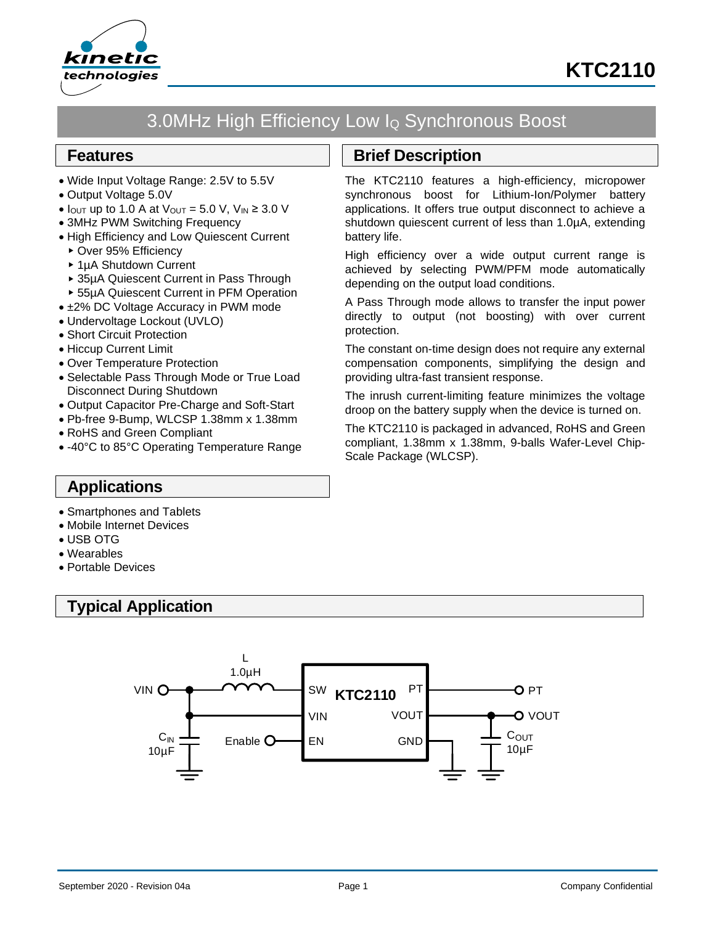



# 3.0MHz High Efficiency Low I<sup>Q</sup> Synchronous Boost

### **Features**

- Wide Input Voltage Range: 2.5V to 5.5V
- Output Voltage 5.0V
- $I_{\text{OUT}}$  up to 1.0 A at  $V_{\text{OUT}} = 5.0$  V,  $V_{\text{IN}} \geq 3.0$  V
- 3MHz PWM Switching Frequency
- High Efficiency and Low Quiescent Current
	- ▶ Over 95% Efficiency
	- ▶ 1uA Shutdown Current
	- 35µA Quiescent Current in Pass Through
	- 55µA Quiescent Current in PFM Operation
- ±2% DC Voltage Accuracy in PWM mode
- Undervoltage Lockout (UVLO)
- Short Circuit Protection
- Hiccup Current Limit
- Over Temperature Protection
- Selectable Pass Through Mode or True Load Disconnect During Shutdown
- Output Capacitor Pre-Charge and Soft-Start
- Pb-free 9-Bump, WLCSP 1.38mm x 1.38mm
- RoHS and Green Compliant
- -40°C to 85°C Operating Temperature Range

# **Brief Description**

The KTC2110 features a high-efficiency, micropower synchronous boost for Lithium-Ion/Polymer battery applications. It offers true output disconnect to achieve a shutdown quiescent current of less than 1.0µA, extending battery life.

High efficiency over a wide output current range is achieved by selecting PWM/PFM mode automatically depending on the output load conditions.

A Pass Through mode allows to transfer the input power directly to output (not boosting) with over current protection.

The constant on-time design does not require any external compensation components, simplifying the design and providing ultra-fast transient response.

The inrush current-limiting feature minimizes the voltage droop on the battery supply when the device is turned on.

The KTC2110 is packaged in advanced, RoHS and Green compliant, 1.38mm x 1.38mm, 9-balls Wafer-Level Chip-Scale Package (WLCSP).

# **Applications**

- Smartphones and Tablets
- Mobile Internet Devices
- USB OTG
- Wearables
- Portable Devices

# **Typical Application**

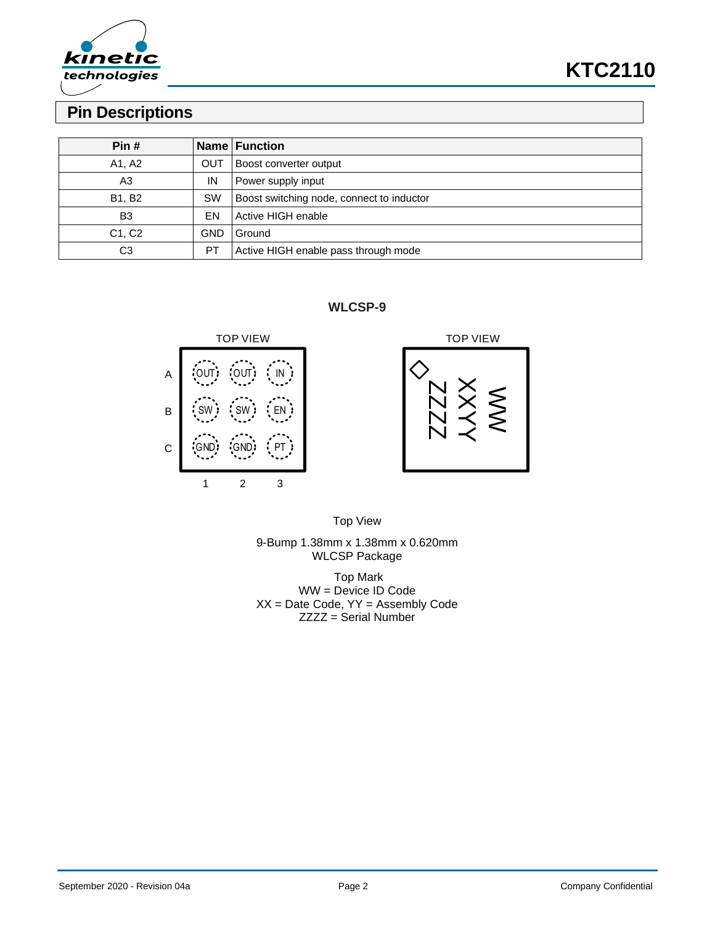

# **KTC2110**

### **Pin Descriptions**

| Pin#           |            | Name Function                             |
|----------------|------------|-------------------------------------------|
| A1, A2         | OUT        | Boost converter output                    |
| A3             | IN         | Power supply input                        |
| B1, B2         | SW         | Boost switching node, connect to inductor |
| B <sub>3</sub> | EN         | Active HIGH enable                        |
| C1, C2         | <b>GND</b> | Ground                                    |
| C <sub>3</sub> | PT         | Active HIGH enable pass through mode      |

**WLCSP-9**





Top View

9-Bump 1.38mm x 1.38mm x 0.620mm WLCSP Package

Top Mark WW = Device ID Code  $XX =$  Date Code,  $YY =$  Assembly Code ZZZZ = Serial Number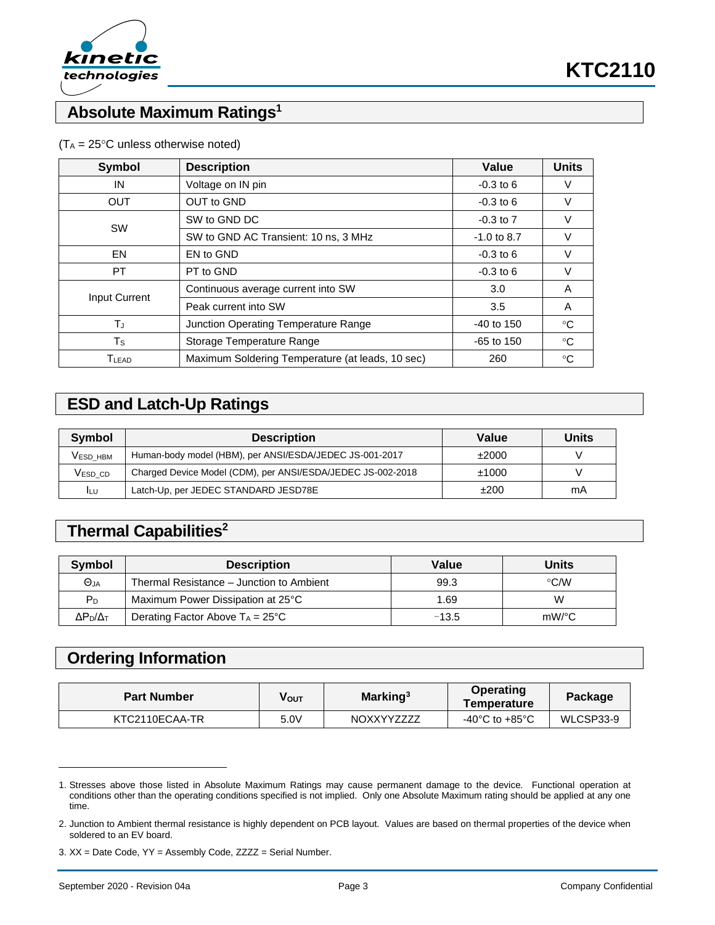

# **Absolute Maximum Ratings<sup>1</sup>**

| <b>Symbol</b>        | <b>Description</b>                               | Value         | <b>Units</b> |
|----------------------|--------------------------------------------------|---------------|--------------|
| IN                   | Voltage on IN pin                                | $-0.3$ to 6   | V            |
| <b>OUT</b>           | OUT to GND                                       | $-0.3$ to 6   | V            |
|                      | SW to GND DC                                     | $-0.3$ to $7$ | V            |
| <b>SW</b>            | SW to GND AC Transient: 10 ns, 3 MHz             | $-1.0$ to 8.7 | V            |
| EN                   | EN to GND                                        | $-0.3$ to 6   |              |
| PT                   | PT to GND                                        | $-0.3$ to 6   | V            |
|                      | Continuous average current into SW               | 3.0           | A            |
| <b>Input Current</b> | Peak current into SW                             | 3.5           | A            |
| TJ                   | Junction Operating Temperature Range             | $-40$ to 150  | °C           |
| T <sub>S</sub>       | Storage Temperature Range                        | $-65$ to 150  | $^{\circ}$ C |
| TLEAD                | Maximum Soldering Temperature (at leads, 10 sec) | 260           | °C           |

#### $(T_A = 25^{\circ}C$  unless otherwise noted)

# **ESD and Latch-Up Ratings**

| Symbol          | <b>Description</b>                                          | Value | <b>Units</b> |
|-----------------|-------------------------------------------------------------|-------|--------------|
| <b>VESD HBM</b> | Human-body model (HBM), per ANSI/ESDA/JEDEC JS-001-2017     | ±2000 |              |
| VESD CD         | Charged Device Model (CDM), per ANSI/ESDA/JEDEC JS-002-2018 | ±1000 |              |
| ILU.            | Latch-Up, per JEDEC STANDARD JESD78E                        | ±200  | mA           |

# **Thermal Capabilities<sup>2</sup>**

| Symbol                | <b>Description</b>                        | Value   | Units         |
|-----------------------|-------------------------------------------|---------|---------------|
| Θja                   | Thermal Resistance – Junction to Ambient  | 99.3    | $\degree$ C/W |
| $P_D$                 | Maximum Power Dissipation at 25°C         | 1.69    | W             |
| $\Delta P_D/\Delta T$ | Derating Factor Above $T_A = 25^{\circ}C$ | $-13.5$ | $mW$ /°C      |

### **Ordering Information**

| <b>Part Number</b> | νουτ | Marking $3$       | Operating<br>Temperature             | Package   |  |
|--------------------|------|-------------------|--------------------------------------|-----------|--|
| KTC2110ECAA-TR     | 5.0V | <b>NOXXYYZZZZ</b> | -40 $^{\circ}$ C to +85 $^{\circ}$ C | WLCSP33-9 |  |

<sup>1.</sup> Stresses above those listed in Absolute Maximum Ratings may cause permanent damage to the device. Functional operation at conditions other than the operating conditions specified is not implied. Only one Absolute Maximum rating should be applied at any one time.

<sup>2.</sup> Junction to Ambient thermal resistance is highly dependent on PCB layout. Values are based on thermal properties of the device when soldered to an EV board.

<sup>3.</sup> XX = Date Code, YY = Assembly Code, ZZZZ = Serial Number.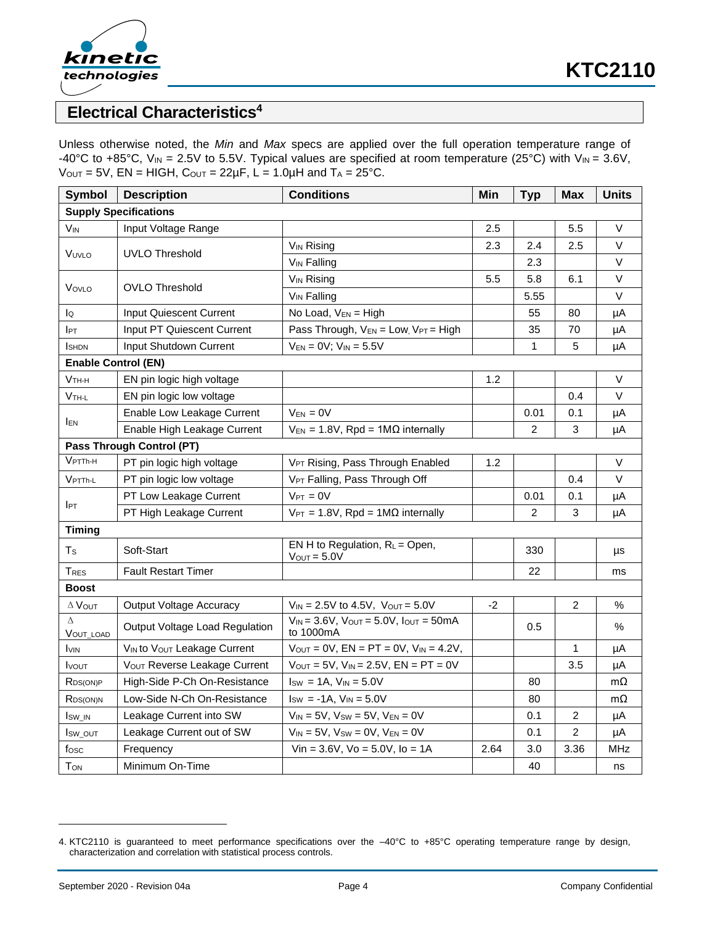

# **Electrical Characteristics<sup>4</sup>**

Unless otherwise noted, the *Min* and *Max* specs are applied over the full operation temperature range of -40°C to +85°C, V<sub>IN</sub> = 2.5V to 5.5V. Typical values are specified at room temperature (25°C) with V<sub>IN</sub> = 3.6V,  $V_{\text{OUT}} = 5V$ ,  $EN = HIGH$ ,  $C_{\text{OUT}} = 22\mu\text{F}$ ,  $L = 1.0\mu\text{H}$  and  $T_A = 25\text{°C}$ .

| <b>Symbol</b>                | <b>Description</b>             | <b>Conditions</b>                                                | Min  | <b>Typ</b>     | <b>Max</b>     | <b>Units</b> |
|------------------------------|--------------------------------|------------------------------------------------------------------|------|----------------|----------------|--------------|
| <b>Supply Specifications</b> |                                |                                                                  |      |                |                |              |
| V <sub>IN</sub>              | Input Voltage Range            |                                                                  | 2.5  |                | 5.5            | V            |
| VUVLO                        |                                | <b>V<sub>IN</sub></b> Rising                                     | 2.3  | 2.4            | 2.5            | V            |
|                              | <b>UVLO Threshold</b>          | V <sub>IN</sub> Falling                                          |      | 2.3            |                | $\vee$       |
|                              |                                | <b>V<sub>IN</sub></b> Rising                                     | 5.5  | 5.8            | 6.1            | $\vee$       |
| Vovlo                        | <b>OVLO Threshold</b>          | V <sub>IN</sub> Falling                                          |      | 5.55           |                | $\vee$       |
| lo                           | <b>Input Quiescent Current</b> | No Load, V <sub>EN</sub> = High                                  |      | 55             | 80             | μA           |
| IPT                          | Input PT Quiescent Current     | Pass Through, V <sub>EN</sub> = Low, V <sub>PT</sub> = High      |      | 35             | 70             | μA           |
| <b>I</b> SHDN                | Input Shutdown Current         | $V_{EN} = 0V$ ; $V_{IN} = 5.5V$                                  |      | 1              | 5              | μA           |
| <b>Enable Control (EN)</b>   |                                |                                                                  |      |                |                |              |
| $V$ <sub>TH-H</sub>          | EN pin logic high voltage      |                                                                  | 1.2  |                |                | V            |
| $V$ TH-L                     | EN pin logic low voltage       |                                                                  |      |                | 0.4            | $\vee$       |
| <b>IEN</b>                   | Enable Low Leakage Current     | $V_{EN} = 0V$                                                    |      | 0.01           | 0.1            | μA           |
|                              | Enable High Leakage Current    | $V_{EN} = 1.8V$ , Rpd = 1M $\Omega$ internally                   |      | $\overline{2}$ | 3              | μA           |
|                              | Pass Through Control (PT)      |                                                                  |      |                |                |              |
| V <sub>PTTh-H</sub>          | PT pin logic high voltage      | V <sub>PT</sub> Rising, Pass Through Enabled                     | 1.2  |                |                | V            |
| VPTTh-L                      | PT pin logic low voltage       | V <sub>PT</sub> Falling, Pass Through Off                        |      |                | 0.4            | $\vee$       |
| <b>IPT</b>                   | PT Low Leakage Current         | $V_{PT} = 0V$                                                    |      | 0.01           | 0.1            | μA           |
|                              | PT High Leakage Current        | $V_{PT}$ = 1.8V, Rpd = 1M $\Omega$ internally                    |      | $\overline{c}$ | 3              | μA           |
| <b>Timing</b>                |                                |                                                                  |      |                |                |              |
| $T_{\rm S}$                  | Soft-Start                     | EN H to Regulation, $R_L =$ Open,<br>$V_{OUT} = 5.0V$            |      | 330            |                | μs           |
| <b>TRES</b>                  | <b>Fault Restart Timer</b>     |                                                                  |      | 22             |                | ms           |
| <b>Boost</b>                 |                                |                                                                  |      |                |                |              |
| $\Delta$ Vout                | Output Voltage Accuracy        | $V_{IN} = 2.5V$ to 4.5V, $V_{OUT} = 5.0V$                        | $-2$ |                | $\overline{2}$ | $\%$         |
| Δ<br>VOUT_LOAD               | Output Voltage Load Regulation | $V_{IN}$ = 3.6V, $V_{OUT}$ = 5.0V, $I_{OUT}$ = 50mA<br>to 1000mA |      | 0.5            |                | $\%$         |
| <b>VIN</b>                   | VIN to Vout Leakage Current    | $V_{OUT} = 0V$ , $EN = PT = 0V$ , $V_{IN} = 4.2V$ ,              |      |                | 1              | μA           |
| <b>I</b> vout                | Vout Reverse Leakage Current   | $V_{OUT} = 5V$ , $V_{IN} = 2.5V$ , $EN = PT = 0V$                |      |                | 3.5            | μA           |
| RDS(ON)P                     | High-Side P-Ch On-Resistance   | $I_{SW} = 1A$ , $V_{IN} = 5.0V$                                  |      | 80             |                | $m\Omega$    |
| RDS(ON)N                     | Low-Side N-Ch On-Resistance    | $I_{SW} = -1A$ , $V_{IN} = 5.0V$                                 |      | 80             |                | $m\Omega$    |
| $I_{SW IN}$                  | Leakage Current into SW        | $V_{IN} = 5V$ , $V_{SW} = 5V$ , $V_{EN} = 0V$                    |      | 0.1            | 2              | μA           |
| Isw_out                      | Leakage Current out of SW      | $V_{IN} = 5V$ , $V_{SW} = 0V$ , $V_{EN} = 0V$                    |      | 0.1            | $\overline{2}$ | μA           |
| fosc                         | Frequency                      | Vin = $3.6V$ , Vo = $5.0V$ , Io = $1A$                           | 2.64 | 3.0            | 3.36           | <b>MHz</b>   |
| T <sub>ON</sub>              | Minimum On-Time                |                                                                  |      | 40             |                | ns           |

<sup>4.</sup> KTC2110 is guaranteed to meet performance specifications over the –40°C to +85°C operating temperature range by design, characterization and correlation with statistical process controls.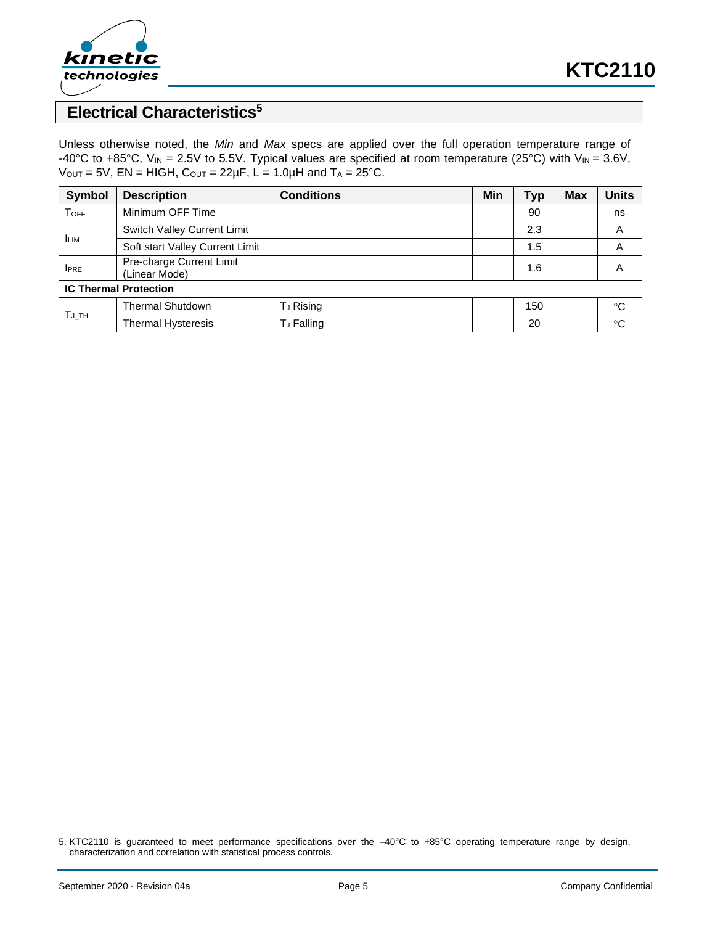

# **Electrical Characteristics<sup>5</sup>**

Unless otherwise noted, the *Min* and *Max* specs are applied over the full operation temperature range of -40°C to +85°C, V<sub>IN</sub> = 2.5V to 5.5V. Typical values are specified at room temperature (25°C) with V<sub>IN</sub> = 3.6V,  $V_{\text{OUT}} = 5V$ ,  $EN = HIGH$ ,  $C_{\text{OUT}} = 22\mu\text{F}$ ,  $L = 1.0\mu\text{H}$  and  $T_A = 25\text{°C}$ .

| <b>Symbol</b>       | <b>Description</b>                        | <b>Conditions</b>     | Min | <b>Typ</b> | <b>Max</b> | <b>Units</b> |
|---------------------|-------------------------------------------|-----------------------|-----|------------|------------|--------------|
| <b>TOFF</b>         | Minimum OFF Time                          |                       |     | 90         |            | ns           |
|                     | Switch Valley Current Limit               |                       |     | 2.3        |            | A            |
| <b>LIM</b>          | Soft start Valley Current Limit           |                       |     | 1.5        |            | A            |
| <b>IPRE</b>         | Pre-charge Current Limit<br>(Linear Mode) |                       |     | 1.6        |            | A            |
|                     | <b>IC Thermal Protection</b>              |                       |     |            |            |              |
| $T_J$ <sub>TH</sub> | <b>Thermal Shutdown</b>                   | T <sub>J</sub> Rising |     | 150        |            | $^{\circ}C$  |
|                     | <b>Thermal Hysteresis</b>                 | TJ Falling            |     | 20         |            | °C           |

<sup>5.</sup> KTC2110 is guaranteed to meet performance specifications over the –40°C to +85°C operating temperature range by design, characterization and correlation with statistical process controls.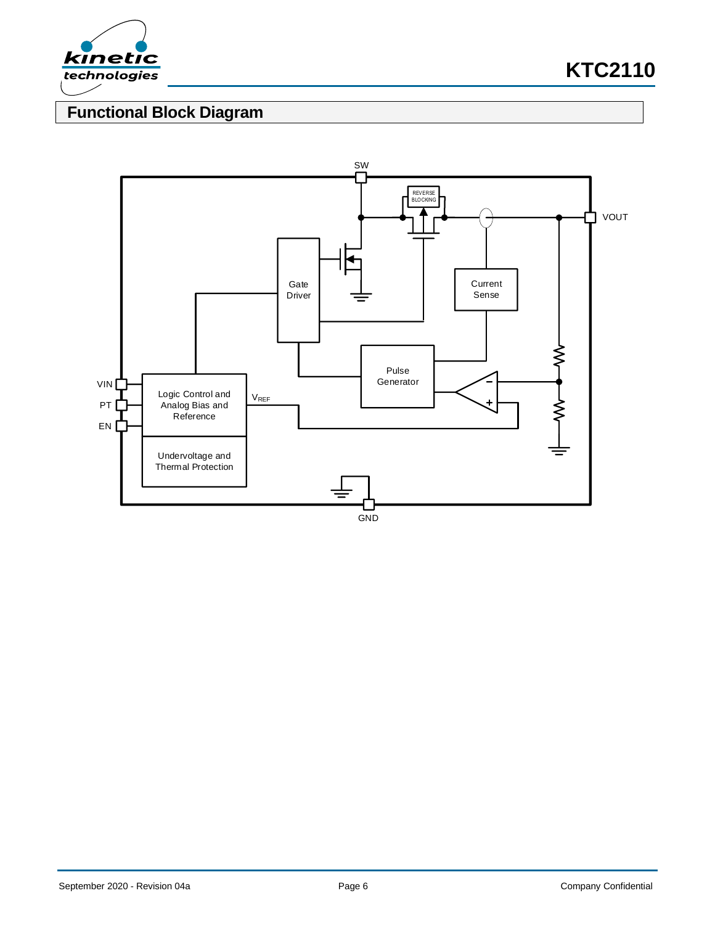

**KTC2110**

# **Functional Block Diagram**

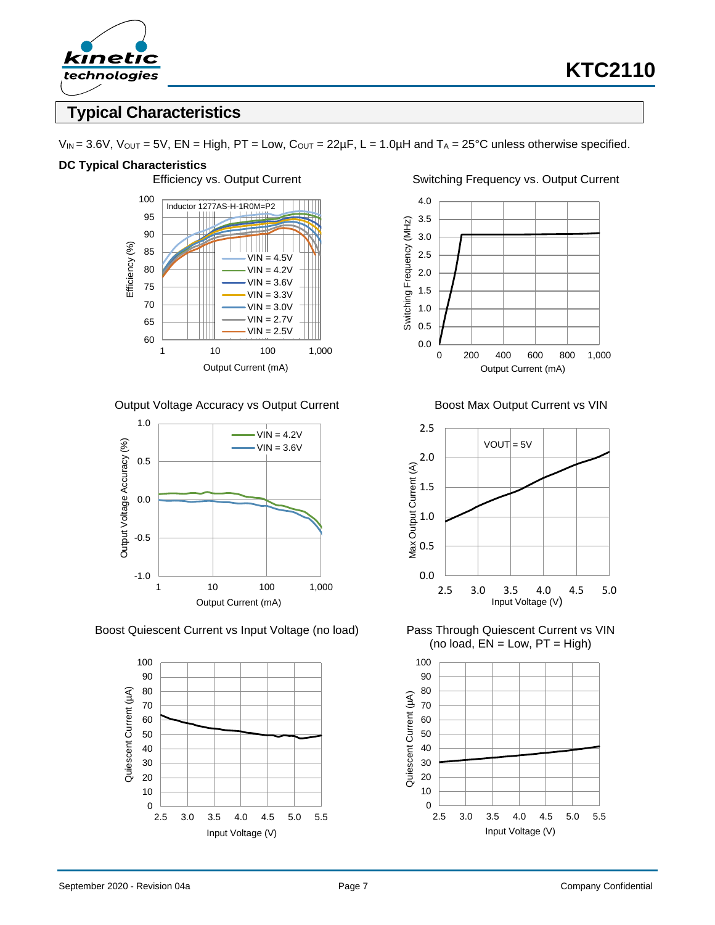

### **Typical Characteristics**

 $V_{\text{IN}} = 3.6V$ ,  $V_{\text{OUT}} = 5V$ ,  $EN = High$ ,  $PT = Low$ ,  $C_{\text{OUT}} = 22\mu F$ ,  $L = 1.0\mu H$  and  $T_A = 25\text{°C}$  unless otherwise specified.

#### **DC Typical Characteristics**



#### Output Voltage Accuracy vs Output Current Boost Max Output Current vs VIN



Boost Quiescent Current vs Input Voltage (no load) Pass Through Quiescent Current vs VIN



Efficiency vs. Output Current Switching Frequency vs. Output Current





(no load,  $EN = Low$ ,  $PT = High$ )

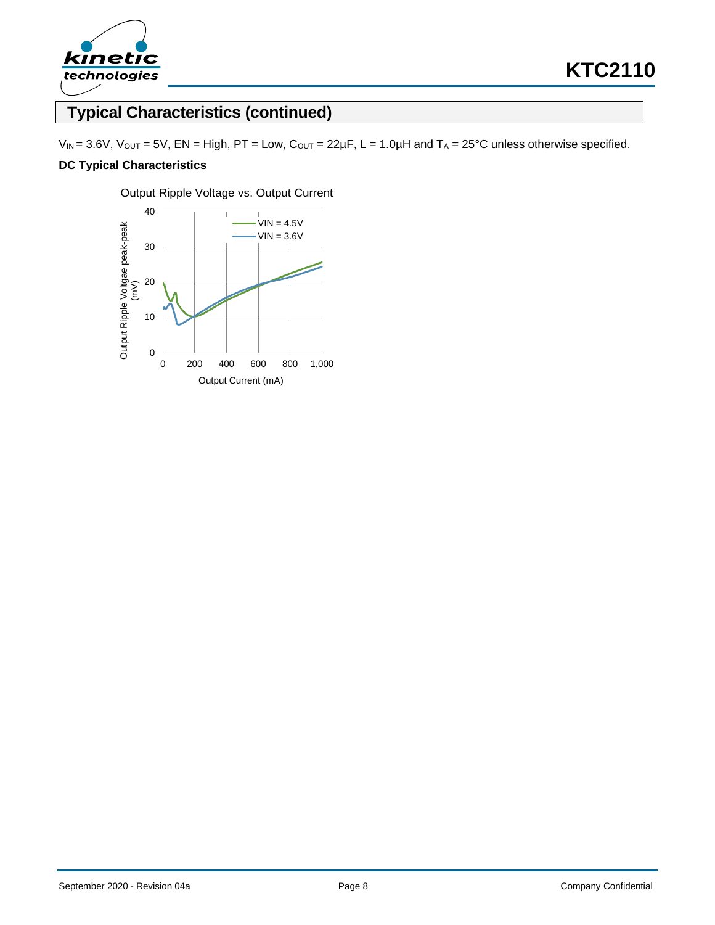

# **Typical Characteristics (continued)**

 $V_{IN} = 3.6V$ ,  $V_{OUT} = 5V$ ,  $EN = High$ ,  $PT = Low$ ,  $C_{OUT} = 22\mu F$ ,  $L = 1.0\mu H$  and  $T_A = 25\textdegree C$  unless otherwise specified.

#### **DC Typical Characteristics**

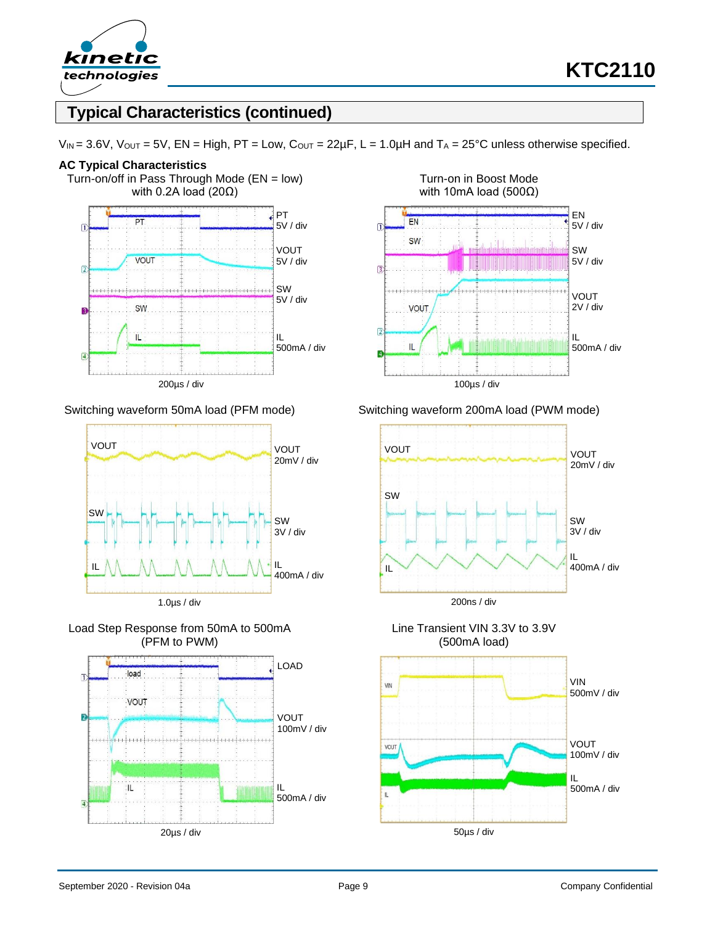

# **Typical Characteristics (continued)**

 $V_{\text{IN}} = 3.6V$ ,  $V_{\text{OUT}} = 5V$ ,  $EN = High$ ,  $PT = Low$ ,  $C_{\text{OUT}} = 22\mu F$ ,  $L = 1.0\mu H$  and  $T_A = 25\text{°C}$  unless otherwise specified.

#### **AC Typical Characteristics**











Switching waveform 50mA load (PFM mode) Switching waveform 200mA load (PWM mode)



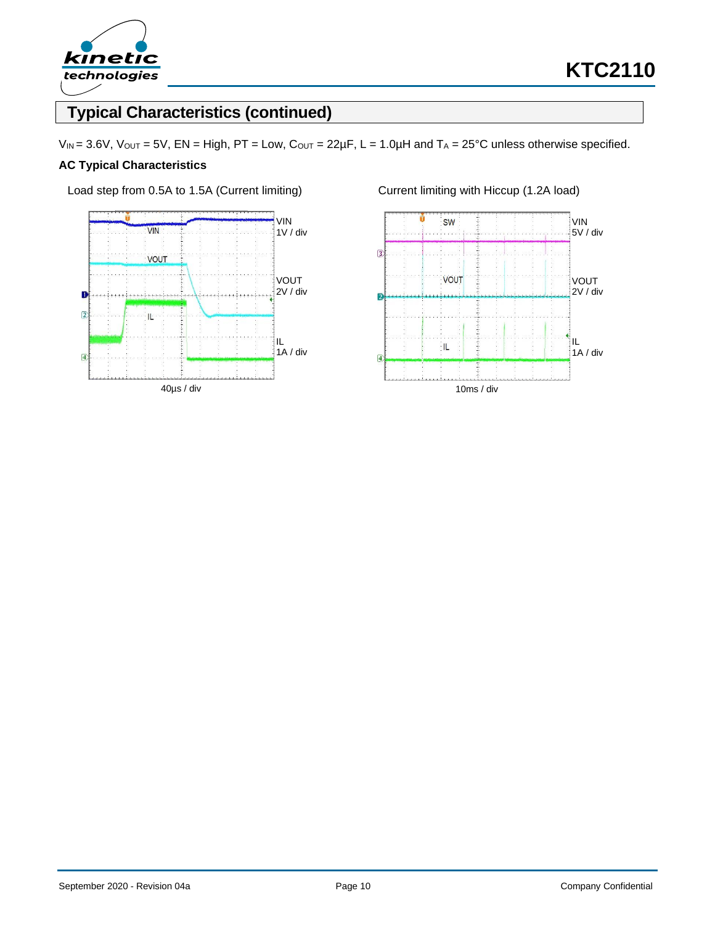

# **Typical Characteristics (continued)**

 $V_{IN} = 3.6V$ ,  $V_{OUT} = 5V$ ,  $EN = High$ ,  $PT = Low$ ,  $C_{OUT} = 22\mu F$ ,  $L = 1.0\mu H$  and  $T_A = 25\textdegree C$  unless otherwise specified.

#### **AC Typical Characteristics**

Load step from 0.5A to 1.5A (Current limiting) Current limiting with Hiccup (1.2A load)



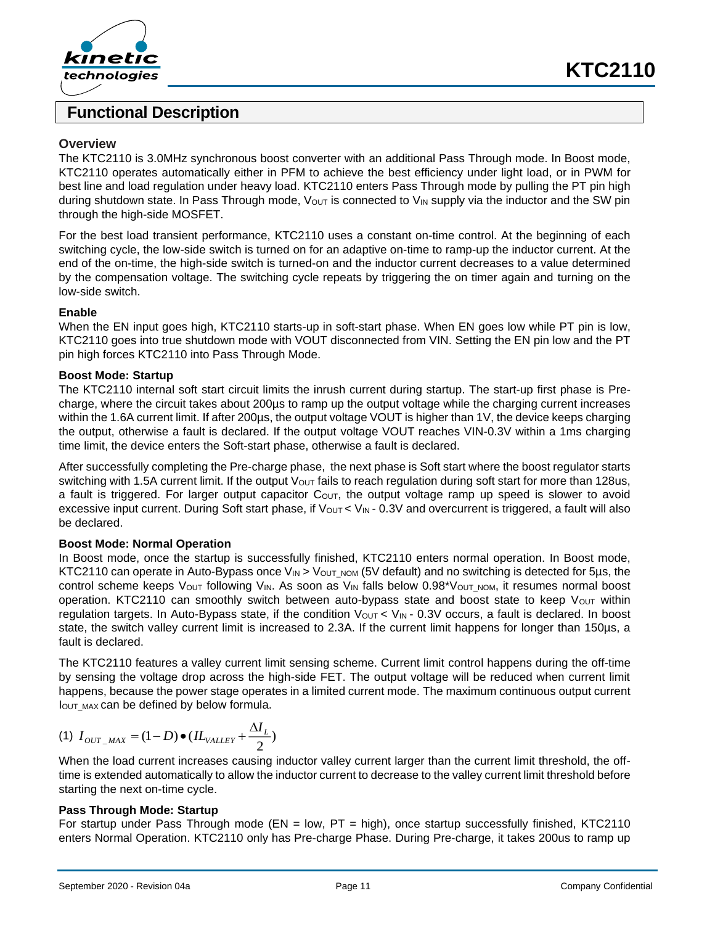



### **Functional Description**

#### **Overview**

The KTC2110 is 3.0MHz synchronous boost converter with an additional Pass Through mode. In Boost mode, KTC2110 operates automatically either in PFM to achieve the best efficiency under light load, or in PWM for best line and load regulation under heavy load. KTC2110 enters Pass Through mode by pulling the PT pin high during shutdown state. In Pass Through mode,  $V_{\text{OUT}}$  is connected to  $V_{\text{IN}}$  supply via the inductor and the SW pin through the high-side MOSFET.

For the best load transient performance, KTC2110 uses a constant on-time control. At the beginning of each switching cycle, the low-side switch is turned on for an adaptive on-time to ramp-up the inductor current. At the end of the on-time, the high-side switch is turned-on and the inductor current decreases to a value determined by the compensation voltage. The switching cycle repeats by triggering the on timer again and turning on the low-side switch.

#### **Enable**

When the EN input goes high, KTC2110 starts-up in soft-start phase. When EN goes low while PT pin is low, KTC2110 goes into true shutdown mode with VOUT disconnected from VIN. Setting the EN pin low and the PT pin high forces KTC2110 into Pass Through Mode.

#### **Boost Mode: Startup**

The KTC2110 internal soft start circuit limits the inrush current during startup. The start-up first phase is Precharge, where the circuit takes about 200µs to ramp up the output voltage while the charging current increases within the 1.6A current limit. If after 200µs, the output voltage VOUT is higher than 1V, the device keeps charging the output, otherwise a fault is declared. If the output voltage VOUT reaches VIN-0.3V within a 1ms charging time limit, the device enters the Soft-start phase, otherwise a fault is declared.

After successfully completing the Pre-charge phase, the next phase is Soft start where the boost regulator starts switching with 1.5A current limit. If the output  $V_{\text{OUT}}$  fails to reach regulation during soft start for more than 128us, a fault is triggered. For larger output capacitor  $C_{\text{OUT}}$ , the output voltage ramp up speed is slower to avoid excessive input current. During Soft start phase, if  $V_{\text{OUT}}$  <  $V_{\text{IN}}$  - 0.3V and overcurrent is triggered, a fault will also be declared.

#### **Boost Mode: Normal Operation**

In Boost mode, once the startup is successfully finished, KTC2110 enters normal operation. In Boost mode, KTC2110 can operate in Auto-Bypass once  $V_{IN}$  >  $V_{OUT\_NOM}$  (5V default) and no switching is detected for 5µs, the control scheme keeps V<sub>OUT</sub> following V<sub>IN</sub>. As soon as V<sub>IN</sub> falls below 0.98\*V<sub>OUT\_NOM</sub>, it resumes normal boost operation. KTC2110 can smoothly switch between auto-bypass state and boost state to keep  $V_{\text{OUT}}$  within regulation targets. In Auto-Bypass state, if the condition  $V_{\text{OUT}} < V_{\text{IN}}$  - 0.3V occurs, a fault is declared. In boost state, the switch valley current limit is increased to 2.3A. If the current limit happens for longer than 150µs, a fault is declared.

The KTC2110 features a valley current limit sensing scheme. Current limit control happens during the off-time by sensing the voltage drop across the high-side FET. The output voltage will be reduced when current limit happens, because the power stage operates in a limited current mode. The maximum continuous output current IOUT\_MAX can be defined by below formula.

$$
(1) I_{OUT\_MAX} = (1-D) \bullet (IL_{VALLEY} + \frac{\Delta I_L}{2})
$$

When the load current increases causing inductor valley current larger than the current limit threshold, the offtime is extended automatically to allow the inductor current to decrease to the valley current limit threshold before starting the next on-time cycle.

#### **Pass Through Mode: Startup**

For startup under Pass Through mode (EN = low,  $PT =$  high), once startup successfully finished, KTC2110 enters Normal Operation. KTC2110 only has Pre-charge Phase. During Pre-charge, it takes 200us to ramp up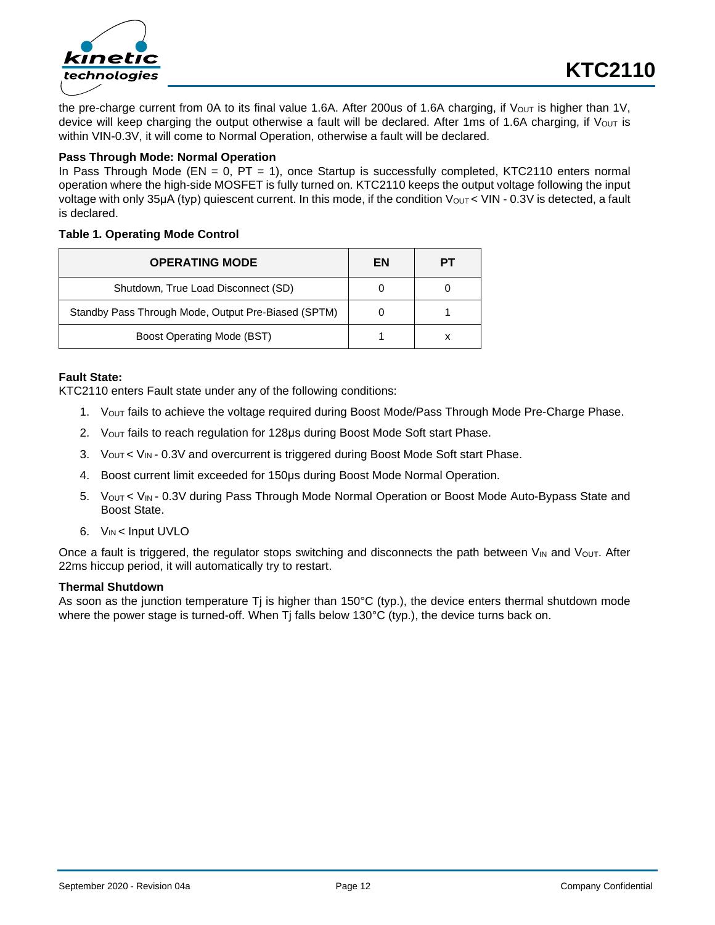

the pre-charge current from 0A to its final value 1.6A. After 200us of 1.6A charging, if Vout is higher than 1V, device will keep charging the output otherwise a fault will be declared. After 1ms of 1.6A charging, if Vout is within VIN-0.3V, it will come to Normal Operation, otherwise a fault will be declared.

#### **Pass Through Mode: Normal Operation**

In Pass Through Mode (EN = 0,  $PT = 1$ ), once Startup is successfully completed, KTC2110 enters normal operation where the high-side MOSFET is fully turned on. KTC2110 keeps the output voltage following the input voltage with only 35μA (typ) quiescent current. In this mode, if the condition V<sub>OUT</sub> < VIN - 0.3V is detected, a fault is declared.

#### **Table 1. Operating Mode Control**

| <b>OPERATING MODE</b>                               | ΕN | PТ |
|-----------------------------------------------------|----|----|
| Shutdown, True Load Disconnect (SD)                 |    |    |
| Standby Pass Through Mode, Output Pre-Biased (SPTM) |    |    |
| Boost Operating Mode (BST)                          |    |    |

#### **Fault State:**

KTC2110 enters Fault state under any of the following conditions:

- 1. VOUT fails to achieve the voltage required during Boost Mode/Pass Through Mode Pre-Charge Phase.
- 2. VOUT fails to reach regulation for 128μs during Boost Mode Soft start Phase.
- 3. Vout < VIN 0.3V and overcurrent is triggered during Boost Mode Soft start Phase.
- 4. Boost current limit exceeded for 150μs during Boost Mode Normal Operation.
- 5. V<sub>OUT</sub> < V<sub>IN</sub> 0.3V during Pass Through Mode Normal Operation or Boost Mode Auto-Bypass State and Boost State.
- 6. VIN < Input UVLO

Once a fault is triggered, the regulator stops switching and disconnects the path between  $V_{IN}$  and  $V_{OUT}$ . After 22ms hiccup period, it will automatically try to restart.

#### **Thermal Shutdown**

As soon as the junction temperature Tj is higher than 150°C (typ.), the device enters thermal shutdown mode where the power stage is turned-off. When Tj falls below 130°C (typ.), the device turns back on.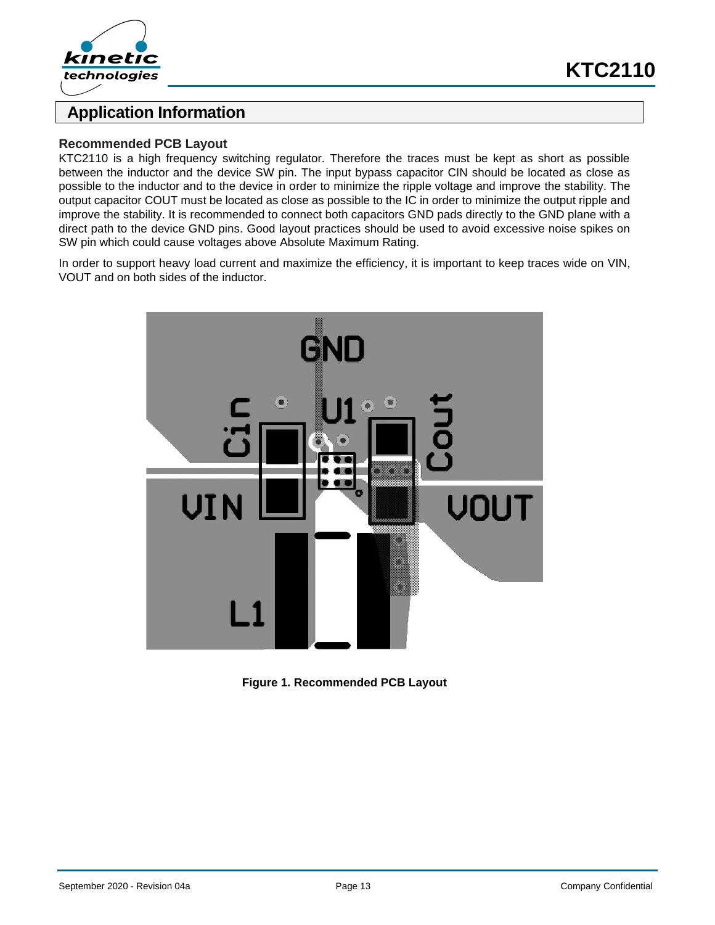



### **Application Information**

#### **Recommended PCB Layout**

KTC2110 is a high frequency switching regulator. Therefore the traces must be kept as short as possible between the inductor and the device SW pin. The input bypass capacitor CIN should be located as close as possible to the inductor and to the device in order to minimize the ripple voltage and improve the stability. The output capacitor COUT must be located as close as possible to the IC in order to minimize the output ripple and improve the stability. It is recommended to connect both capacitors GND pads directly to the GND plane with a direct path to the device GND pins. Good layout practices should be used to avoid excessive noise spikes on SW pin which could cause voltages above Absolute Maximum Rating.

In order to support heavy load current and maximize the efficiency, it is important to keep traces wide on VIN, VOUT and on both sides of the inductor.



**Figure 1. Recommended PCB Layout**